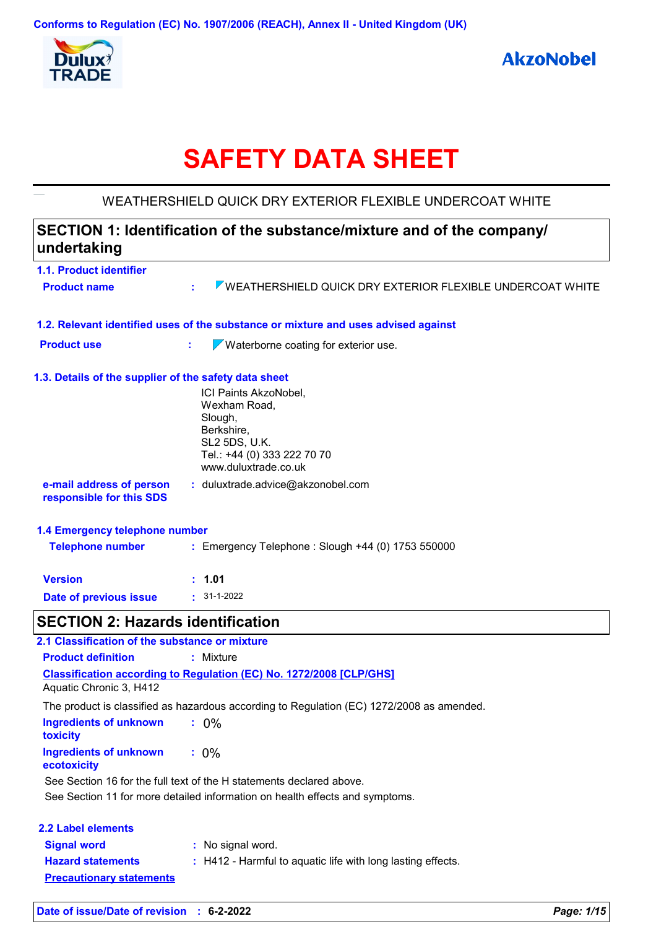

**AkzoNobel** 

# **SAFETY DATA SHEET**

## WEATHERSHIELD QUICK DRY EXTERIOR FLEXIBLE UNDERCOAT WHITE

| undertaking                                           | SECTION 1: Identification of the substance/mixture and of the company/                                                                 |  |
|-------------------------------------------------------|----------------------------------------------------------------------------------------------------------------------------------------|--|
| 1.1. Product identifier                               |                                                                                                                                        |  |
| <b>Product name</b>                                   | <b>WEATHERSHIELD QUICK DRY EXTERIOR FLEXIBLE UNDERCOAT WHITE</b><br>÷.                                                                 |  |
|                                                       | 1.2. Relevant identified uses of the substance or mixture and uses advised against                                                     |  |
| <b>Product use</b>                                    | $\sqrt{}$ Waterborne coating for exterior use.<br>t.                                                                                   |  |
| 1.3. Details of the supplier of the safety data sheet |                                                                                                                                        |  |
|                                                       | ICI Paints AkzoNobel,<br>Wexham Road,<br>Slough,<br>Berkshire,<br>SL2 5DS, U.K.<br>Tel.: +44 (0) 333 222 70 70<br>www.duluxtrade.co.uk |  |
| e-mail address of person<br>responsible for this SDS  | : duluxtrade.advice@akzonobel.com                                                                                                      |  |
| 1.4 Emergency telephone number                        |                                                                                                                                        |  |
| <b>Telephone number</b>                               | : Emergency Telephone : Slough +44 (0) 1753 550000                                                                                     |  |
| <b>Version</b>                                        | : 1.01                                                                                                                                 |  |
| <b>Date of previous issue</b>                         | $\cdot$ 31-1-2022                                                                                                                      |  |
| <b>SECTION 2: Hazards identification</b>              |                                                                                                                                        |  |
| 2.1 Classification of the substance or mixture        |                                                                                                                                        |  |
| <b>Product definition</b>                             | : Mixture                                                                                                                              |  |
| Aquatic Chronic 3, H412                               | <b>Classification according to Regulation (EC) No. 1272/2008 [CLP/GHS]</b>                                                             |  |
|                                                       | The product is classified as hazardous according to Regulation (EC) 1272/2008 as amended.                                              |  |
| <b>Ingredients of unknown</b><br>toxicity             | : 0%                                                                                                                                   |  |
| <b>Ingredients of unknown</b><br>ecotoxicity          | $: 0\%$                                                                                                                                |  |
|                                                       | See Section 16 for the full text of the H statements declared above.                                                                   |  |
|                                                       | See Section 11 for more detailed information on health effects and symptoms.                                                           |  |
| <b>2.2 Label elements</b>                             |                                                                                                                                        |  |
| <b>Signal word</b>                                    | : No signal word.                                                                                                                      |  |
| <b>Hazard statements</b>                              | : H412 - Harmful to aquatic life with long lasting effects.                                                                            |  |
| <b>Precautionary statements</b>                       |                                                                                                                                        |  |
|                                                       |                                                                                                                                        |  |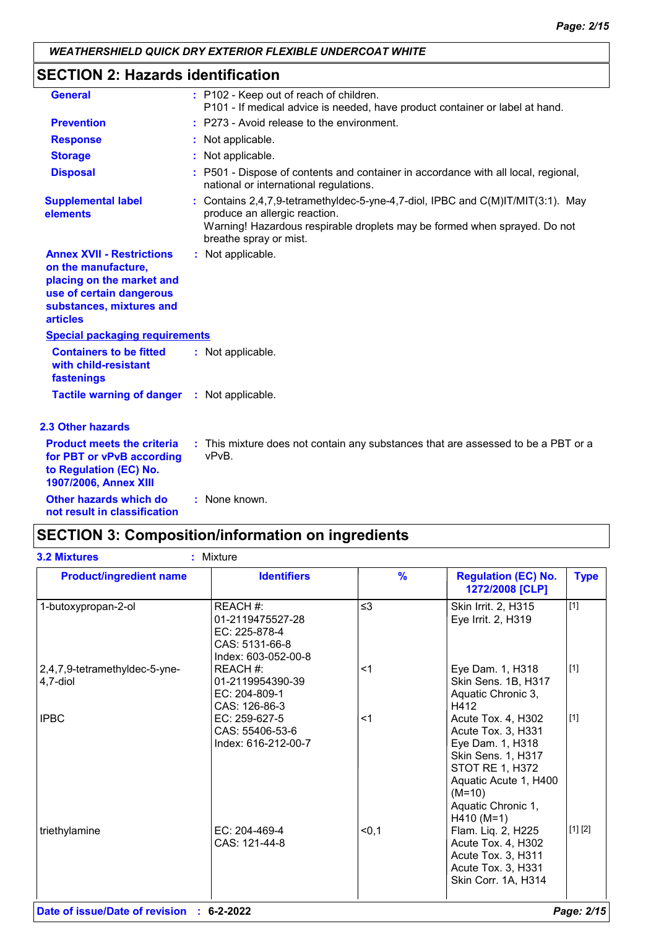# **SECTION 2: Hazards identification**

| <b>General</b>                                                                                                                                                  | : P102 - Keep out of reach of children.<br>P101 - If medical advice is needed, have product container or label at hand.                                                                                                 |
|-----------------------------------------------------------------------------------------------------------------------------------------------------------------|-------------------------------------------------------------------------------------------------------------------------------------------------------------------------------------------------------------------------|
| <b>Prevention</b>                                                                                                                                               | : P273 - Avoid release to the environment.                                                                                                                                                                              |
| <b>Response</b>                                                                                                                                                 | : Not applicable.                                                                                                                                                                                                       |
| <b>Storage</b>                                                                                                                                                  | : Not applicable.                                                                                                                                                                                                       |
| <b>Disposal</b>                                                                                                                                                 | : P501 - Dispose of contents and container in accordance with all local, regional,<br>national or international regulations.                                                                                            |
| <b>Supplemental label</b><br>elements                                                                                                                           | : Contains 2,4,7,9-tetramethyldec-5-yne-4,7-diol, IPBC and C(M)IT/MIT(3:1). May<br>produce an allergic reaction.<br>Warning! Hazardous respirable droplets may be formed when sprayed. Do not<br>breathe spray or mist. |
| <b>Annex XVII - Restrictions</b><br>on the manufacture,<br>placing on the market and<br>use of certain dangerous<br>substances, mixtures and<br><b>articles</b> | : Not applicable.                                                                                                                                                                                                       |
| <b>Special packaging requirements</b>                                                                                                                           |                                                                                                                                                                                                                         |
| <b>Containers to be fitted</b><br>with child-resistant<br>fastenings                                                                                            | : Not applicable.                                                                                                                                                                                                       |
| <b>Tactile warning of danger : Not applicable.</b>                                                                                                              |                                                                                                                                                                                                                         |
| <b>2.3 Other hazards</b>                                                                                                                                        |                                                                                                                                                                                                                         |
| <b>Product meets the criteria</b><br>for PBT or vPvB according<br>to Regulation (EC) No.<br>1907/2006, Annex XIII                                               | : This mixture does not contain any substances that are assessed to be a PBT or a<br>vPvB.                                                                                                                              |
| Other hazards which do<br>not result in classification                                                                                                          | : None known.                                                                                                                                                                                                           |

# **SECTION 3: Composition/information on ingredients**

| <b>Product/ingredient name</b>            | <b>Identifiers</b>                                                                     | $\frac{9}{6}$ | <b>Regulation (EC) No.</b><br>1272/2008 [CLP]                                                                                                                                           | <b>Type</b> |
|-------------------------------------------|----------------------------------------------------------------------------------------|---------------|-----------------------------------------------------------------------------------------------------------------------------------------------------------------------------------------|-------------|
| 1-butoxypropan-2-ol                       | REACH #:<br>01-2119475527-28<br>EC: 225-878-4<br>CAS: 5131-66-8<br>Index: 603-052-00-8 | $\leq$ 3      | Skin Irrit. 2, H315<br>Eye Irrit. 2, H319                                                                                                                                               | $[1]$       |
| 2,4,7,9-tetramethyldec-5-yne-<br>4,7-diol | REACH #:<br>01-2119954390-39<br>EC: 204-809-1<br>CAS: 126-86-3                         | $<$ 1         | Eye Dam. 1, H318<br>Skin Sens. 1B, H317<br>Aquatic Chronic 3,<br>H412                                                                                                                   | $[1]$       |
| <b>IPBC</b>                               | EC: 259-627-5<br>CAS: 55406-53-6<br>Index: 616-212-00-7                                | $<$ 1         | Acute Tox. 4, H302<br>Acute Tox. 3, H331<br>Eye Dam. 1, H318<br><b>Skin Sens. 1, H317</b><br>STOT RE 1, H372<br>Aquatic Acute 1, H400<br>$(M=10)$<br>Aquatic Chronic 1,<br>$H410 (M=1)$ | $[1]$       |
| triethylamine                             | EC: 204-469-4<br>CAS: 121-44-8                                                         | < 0, 1        | Flam. Liq. 2, H225<br>Acute Tox. 4, H302<br>Acute Tox. 3, H311<br>Acute Tox. 3, H331<br>Skin Corr. 1A, H314                                                                             | [1] [2]     |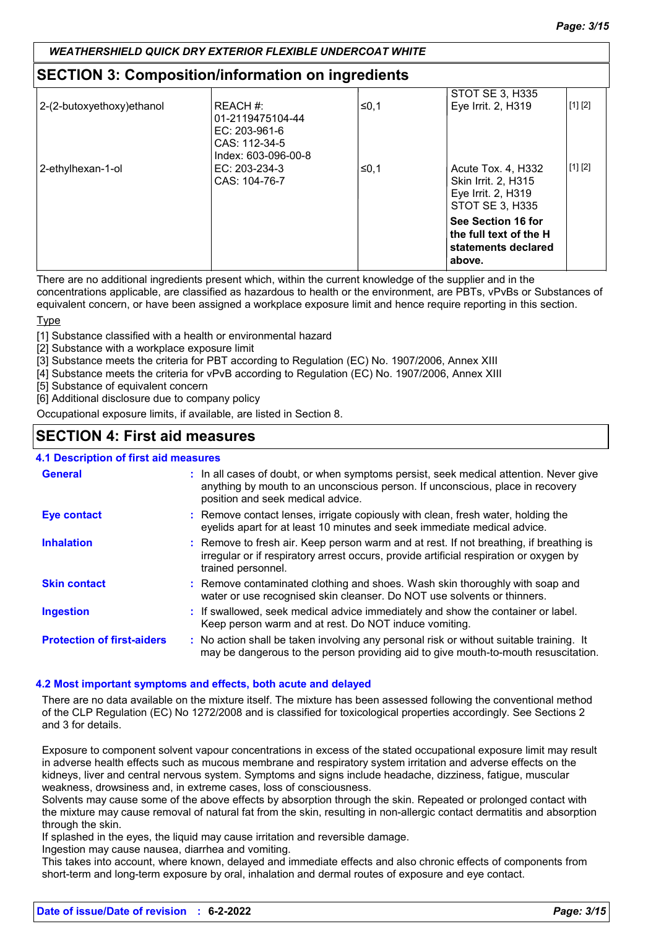## **SECTION 3: Composition/information on ingredients**

|                            |                                  |      | STOT SE 3, H335        |         |
|----------------------------|----------------------------------|------|------------------------|---------|
| 2-(2-butoxyethoxy) ethanol | REACH #:                         | ≤0,1 | Eye Irrit. 2, H319     | [1] [2] |
|                            | 01-2119475104-44                 |      |                        |         |
|                            | EC: $203-961-6$<br>CAS: 112-34-5 |      |                        |         |
|                            | Index: 603-096-00-8              |      |                        |         |
| 2-ethylhexan-1-ol          | EC: 203-234-3                    | ≤0,1 | Acute Tox. 4, H332     | [1] [2] |
|                            | CAS: 104-76-7                    |      | Skin Irrit. 2, H315    |         |
|                            |                                  |      | Eye Irrit. 2, H319     |         |
|                            |                                  |      | <b>STOT SE 3, H335</b> |         |
|                            |                                  |      | See Section 16 for     |         |
|                            |                                  |      | the full text of the H |         |
|                            |                                  |      | statements declared    |         |
|                            |                                  |      | above.                 |         |

There are no additional ingredients present which, within the current knowledge of the supplier and in the

concentrations applicable, are classified as hazardous to health or the environment, are PBTs, vPvBs or Substances of equivalent concern, or have been assigned a workplace exposure limit and hence require reporting in this section.

Type

[1] Substance classified with a health or environmental hazard

[2] Substance with a workplace exposure limit

[3] Substance meets the criteria for PBT according to Regulation (EC) No. 1907/2006, Annex XIII

[4] Substance meets the criteria for vPvB according to Regulation (EC) No. 1907/2006, Annex XIII

[5] Substance of equivalent concern

[6] Additional disclosure due to company policy

Occupational exposure limits, if available, are listed in Section 8.

## **SECTION 4: First aid measures**

## **4.1 Description of first aid measures**

| <b>General</b>                    | : In all cases of doubt, or when symptoms persist, seek medical attention. Never give<br>anything by mouth to an unconscious person. If unconscious, place in recovery<br>position and seek medical advice. |
|-----------------------------------|-------------------------------------------------------------------------------------------------------------------------------------------------------------------------------------------------------------|
| <b>Eye contact</b>                | : Remove contact lenses, irrigate copiously with clean, fresh water, holding the<br>eyelids apart for at least 10 minutes and seek immediate medical advice.                                                |
| <b>Inhalation</b>                 | : Remove to fresh air. Keep person warm and at rest. If not breathing, if breathing is<br>irregular or if respiratory arrest occurs, provide artificial respiration or oxygen by<br>trained personnel.      |
| <b>Skin contact</b>               | : Remove contaminated clothing and shoes. Wash skin thoroughly with soap and<br>water or use recognised skin cleanser. Do NOT use solvents or thinners.                                                     |
| <b>Ingestion</b>                  | : If swallowed, seek medical advice immediately and show the container or label.<br>Keep person warm and at rest. Do NOT induce vomiting.                                                                   |
| <b>Protection of first-aiders</b> | : No action shall be taken involving any personal risk or without suitable training. It<br>may be dangerous to the person providing aid to give mouth-to-mouth resuscitation.                               |

#### **4.2 Most important symptoms and effects, both acute and delayed**

There are no data available on the mixture itself. The mixture has been assessed following the conventional method of the CLP Regulation (EC) No 1272/2008 and is classified for toxicological properties accordingly. See Sections 2 and 3 for details.

Exposure to component solvent vapour concentrations in excess of the stated occupational exposure limit may result in adverse health effects such as mucous membrane and respiratory system irritation and adverse effects on the kidneys, liver and central nervous system. Symptoms and signs include headache, dizziness, fatigue, muscular weakness, drowsiness and, in extreme cases, loss of consciousness.

Solvents may cause some of the above effects by absorption through the skin. Repeated or prolonged contact with the mixture may cause removal of natural fat from the skin, resulting in non-allergic contact dermatitis and absorption through the skin.

If splashed in the eyes, the liquid may cause irritation and reversible damage.

Ingestion may cause nausea, diarrhea and vomiting.

This takes into account, where known, delayed and immediate effects and also chronic effects of components from short-term and long-term exposure by oral, inhalation and dermal routes of exposure and eye contact.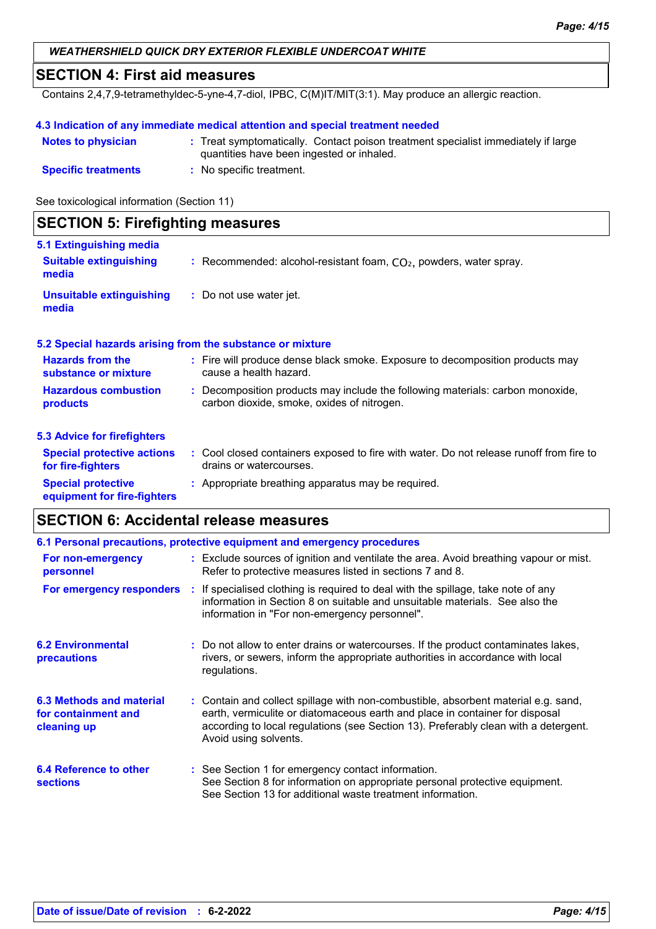## **SECTION 4: First aid measures**

Contains 2,4,7,9-tetramethyldec-5-yne-4,7-diol, IPBC, C(M)IT/MIT(3:1). May produce an allergic reaction.

#### **4.3 Indication of any immediate medical attention and special treatment needed**

| <b>Notes to physician</b>  | : Treat symptomatically. Contact poison treatment specialist immediately if large<br>quantities have been ingested or inhaled. |
|----------------------------|--------------------------------------------------------------------------------------------------------------------------------|
| <b>Specific treatments</b> | No specific treatment.                                                                                                         |

See toxicological information (Section 11)

| <b>SECTION 5: Firefighting measures</b>                  |                                                                                                                              |  |  |
|----------------------------------------------------------|------------------------------------------------------------------------------------------------------------------------------|--|--|
| 5.1 Extinguishing media                                  |                                                                                                                              |  |  |
| <b>Suitable extinguishing</b><br>media                   | : Recommended: alcohol-resistant foam, $CO2$ , powders, water spray.                                                         |  |  |
| Unsuitable extinguishing<br>media                        | : Do not use water jet.                                                                                                      |  |  |
|                                                          | 5.2 Special hazards arising from the substance or mixture                                                                    |  |  |
| <b>Hazards from the</b><br>substance or mixture          | : Fire will produce dense black smoke. Exposure to decomposition products may<br>cause a health hazard.                      |  |  |
| <b>Hazardous combustion</b><br>products                  | : Decomposition products may include the following materials: carbon monoxide,<br>carbon dioxide, smoke, oxides of nitrogen. |  |  |
| <b>5.3 Advice for firefighters</b>                       |                                                                                                                              |  |  |
| <b>Special protective actions</b><br>for fire-fighters   | : Cool closed containers exposed to fire with water. Do not release runoff from fire to<br>drains or watercourses.           |  |  |
| <b>Special protective</b><br>equipment for fire-fighters | : Appropriate breathing apparatus may be required.                                                                           |  |  |

## **SECTION 6: Accidental release measures**

|                                                                | 6.1 Personal precautions, protective equipment and emergency procedures                                                                                                                                                                                                            |
|----------------------------------------------------------------|------------------------------------------------------------------------------------------------------------------------------------------------------------------------------------------------------------------------------------------------------------------------------------|
| For non-emergency<br>personnel                                 | : Exclude sources of ignition and ventilate the area. Avoid breathing vapour or mist.<br>Refer to protective measures listed in sections 7 and 8.                                                                                                                                  |
|                                                                | For emergency responders : If specialised clothing is required to deal with the spillage, take note of any<br>information in Section 8 on suitable and unsuitable materials. See also the<br>information in "For non-emergency personnel".                                         |
| <b>6.2 Environmental</b><br>precautions                        | : Do not allow to enter drains or watercourses. If the product contaminates lakes,<br>rivers, or sewers, inform the appropriate authorities in accordance with local<br>regulations.                                                                                               |
| 6.3 Methods and material<br>for containment and<br>cleaning up | : Contain and collect spillage with non-combustible, absorbent material e.g. sand,<br>earth, vermiculite or diatomaceous earth and place in container for disposal<br>according to local regulations (see Section 13). Preferably clean with a detergent.<br>Avoid using solvents. |
| <b>6.4 Reference to other</b><br><b>sections</b>               | : See Section 1 for emergency contact information.<br>See Section 8 for information on appropriate personal protective equipment.<br>See Section 13 for additional waste treatment information.                                                                                    |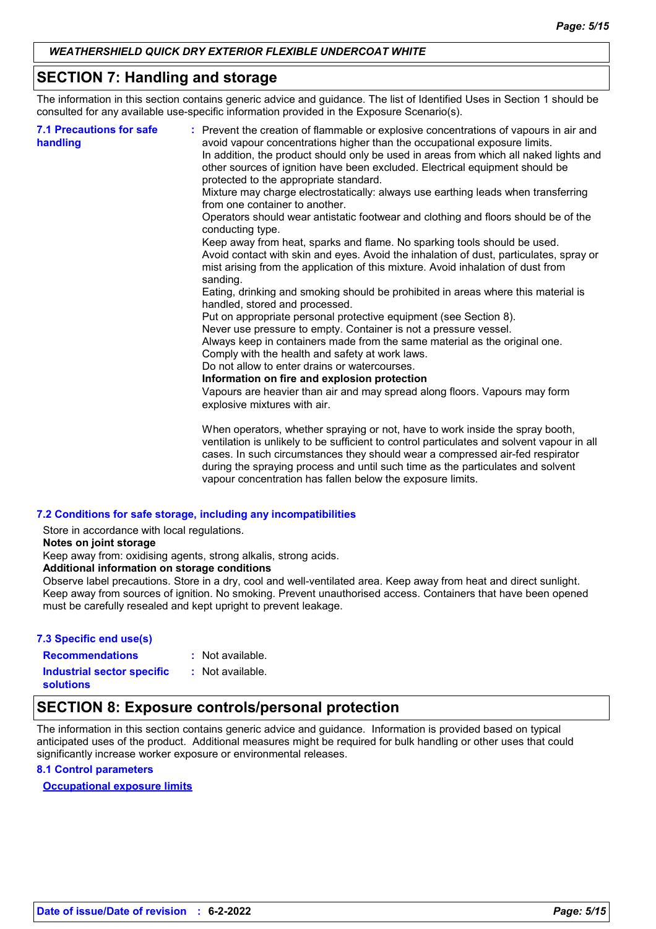## **SECTION 7: Handling and storage**

The information in this section contains generic advice and guidance. The list of Identified Uses in Section 1 should be consulted for any available use-specific information provided in the Exposure Scenario(s).

| <b>7.1 Precautions for safe</b><br>handling | : Prevent the creation of flammable or explosive concentrations of vapours in air and<br>avoid vapour concentrations higher than the occupational exposure limits.<br>In addition, the product should only be used in areas from which all naked lights and<br>other sources of ignition have been excluded. Electrical equipment should be<br>protected to the appropriate standard. |
|---------------------------------------------|---------------------------------------------------------------------------------------------------------------------------------------------------------------------------------------------------------------------------------------------------------------------------------------------------------------------------------------------------------------------------------------|
|                                             | Mixture may charge electrostatically: always use earthing leads when transferring<br>from one container to another.                                                                                                                                                                                                                                                                   |
|                                             | Operators should wear antistatic footwear and clothing and floors should be of the<br>conducting type.                                                                                                                                                                                                                                                                                |
|                                             | Keep away from heat, sparks and flame. No sparking tools should be used.<br>Avoid contact with skin and eyes. Avoid the inhalation of dust, particulates, spray or<br>mist arising from the application of this mixture. Avoid inhalation of dust from<br>sanding.                                                                                                                    |
|                                             | Eating, drinking and smoking should be prohibited in areas where this material is<br>handled, stored and processed.                                                                                                                                                                                                                                                                   |
|                                             | Put on appropriate personal protective equipment (see Section 8).                                                                                                                                                                                                                                                                                                                     |
|                                             | Never use pressure to empty. Container is not a pressure vessel.                                                                                                                                                                                                                                                                                                                      |
|                                             | Always keep in containers made from the same material as the original one.<br>Comply with the health and safety at work laws.                                                                                                                                                                                                                                                         |
|                                             | Do not allow to enter drains or watercourses.                                                                                                                                                                                                                                                                                                                                         |
|                                             | Information on fire and explosion protection                                                                                                                                                                                                                                                                                                                                          |
|                                             | Vapours are heavier than air and may spread along floors. Vapours may form<br>explosive mixtures with air.                                                                                                                                                                                                                                                                            |
|                                             | When operators, whether spraying or not, have to work inside the spray booth,<br>ventilation is unlikely to be sufficient to control particulates and solvent vapour in all<br>cases. In such circumstances they should wear a compressed air-fed respirator<br>during the spraying process and until such time as the particulates and solvent                                       |

#### **7.2 Conditions for safe storage, including any incompatibilities**

Store in accordance with local regulations.

**Notes on joint storage**

Keep away from: oxidising agents, strong alkalis, strong acids.

**Additional information on storage conditions**

Observe label precautions. Store in a dry, cool and well-ventilated area. Keep away from heat and direct sunlight. Keep away from sources of ignition. No smoking. Prevent unauthorised access. Containers that have been opened must be carefully resealed and kept upright to prevent leakage.

vapour concentration has fallen below the exposure limits.

### **7.3 Specific end use(s) Recommendations :**

: Not available.

**Industrial sector specific :**

: Not available.

**solutions**

## **SECTION 8: Exposure controls/personal protection**

The information in this section contains generic advice and guidance. Information is provided based on typical anticipated uses of the product. Additional measures might be required for bulk handling or other uses that could significantly increase worker exposure or environmental releases.

#### **8.1 Control parameters**

**Occupational exposure limits**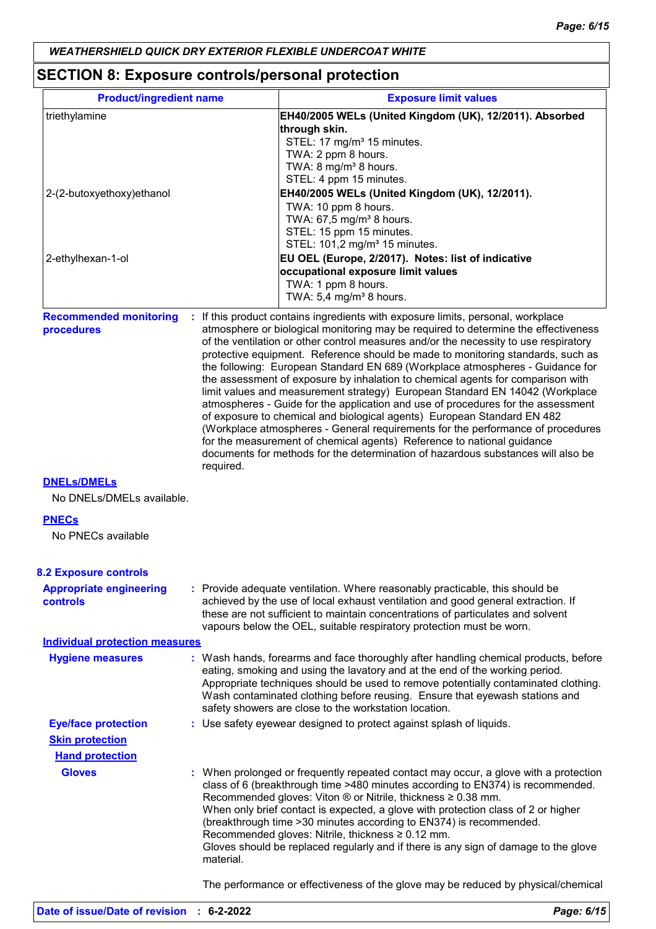# **SECTION 8: Exposure controls/personal protection**

| <b>Product/ingredient name</b>                  |           | <b>Exposure limit values</b>                                                                                                                                                                                                                                                                                                                                                                                                                                                                                                                                                                                                                                                                                                                                                                                                                                                                                                                                                                                          |  |  |
|-------------------------------------------------|-----------|-----------------------------------------------------------------------------------------------------------------------------------------------------------------------------------------------------------------------------------------------------------------------------------------------------------------------------------------------------------------------------------------------------------------------------------------------------------------------------------------------------------------------------------------------------------------------------------------------------------------------------------------------------------------------------------------------------------------------------------------------------------------------------------------------------------------------------------------------------------------------------------------------------------------------------------------------------------------------------------------------------------------------|--|--|
| triethylamine                                   |           | EH40/2005 WELs (United Kingdom (UK), 12/2011). Absorbed                                                                                                                                                                                                                                                                                                                                                                                                                                                                                                                                                                                                                                                                                                                                                                                                                                                                                                                                                               |  |  |
|                                                 |           | through skin.                                                                                                                                                                                                                                                                                                                                                                                                                                                                                                                                                                                                                                                                                                                                                                                                                                                                                                                                                                                                         |  |  |
|                                                 |           | STEL: 17 mg/m <sup>3</sup> 15 minutes.                                                                                                                                                                                                                                                                                                                                                                                                                                                                                                                                                                                                                                                                                                                                                                                                                                                                                                                                                                                |  |  |
|                                                 |           | TWA: 2 ppm 8 hours.                                                                                                                                                                                                                                                                                                                                                                                                                                                                                                                                                                                                                                                                                                                                                                                                                                                                                                                                                                                                   |  |  |
|                                                 |           | TWA: 8 mg/m <sup>3</sup> 8 hours.                                                                                                                                                                                                                                                                                                                                                                                                                                                                                                                                                                                                                                                                                                                                                                                                                                                                                                                                                                                     |  |  |
|                                                 |           | STEL: 4 ppm 15 minutes.                                                                                                                                                                                                                                                                                                                                                                                                                                                                                                                                                                                                                                                                                                                                                                                                                                                                                                                                                                                               |  |  |
| 2-(2-butoxyethoxy) ethanol                      |           | EH40/2005 WELs (United Kingdom (UK), 12/2011).                                                                                                                                                                                                                                                                                                                                                                                                                                                                                                                                                                                                                                                                                                                                                                                                                                                                                                                                                                        |  |  |
|                                                 |           | TWA: 10 ppm 8 hours.                                                                                                                                                                                                                                                                                                                                                                                                                                                                                                                                                                                                                                                                                                                                                                                                                                                                                                                                                                                                  |  |  |
|                                                 |           | TWA: 67,5 mg/m <sup>3</sup> 8 hours.                                                                                                                                                                                                                                                                                                                                                                                                                                                                                                                                                                                                                                                                                                                                                                                                                                                                                                                                                                                  |  |  |
|                                                 |           | STEL: 15 ppm 15 minutes.<br>STEL: 101,2 mg/m <sup>3</sup> 15 minutes.                                                                                                                                                                                                                                                                                                                                                                                                                                                                                                                                                                                                                                                                                                                                                                                                                                                                                                                                                 |  |  |
|                                                 |           |                                                                                                                                                                                                                                                                                                                                                                                                                                                                                                                                                                                                                                                                                                                                                                                                                                                                                                                                                                                                                       |  |  |
| 2-ethylhexan-1-ol                               |           | EU OEL (Europe, 2/2017). Notes: list of indicative<br>occupational exposure limit values                                                                                                                                                                                                                                                                                                                                                                                                                                                                                                                                                                                                                                                                                                                                                                                                                                                                                                                              |  |  |
|                                                 |           | TWA: 1 ppm 8 hours.                                                                                                                                                                                                                                                                                                                                                                                                                                                                                                                                                                                                                                                                                                                                                                                                                                                                                                                                                                                                   |  |  |
|                                                 |           | TWA: $5,4$ mg/m <sup>3</sup> 8 hours.                                                                                                                                                                                                                                                                                                                                                                                                                                                                                                                                                                                                                                                                                                                                                                                                                                                                                                                                                                                 |  |  |
|                                                 |           |                                                                                                                                                                                                                                                                                                                                                                                                                                                                                                                                                                                                                                                                                                                                                                                                                                                                                                                                                                                                                       |  |  |
| <b>Recommended monitoring</b><br>procedures     | required. | : If this product contains ingredients with exposure limits, personal, workplace<br>atmosphere or biological monitoring may be required to determine the effectiveness<br>of the ventilation or other control measures and/or the necessity to use respiratory<br>protective equipment. Reference should be made to monitoring standards, such as<br>the following: European Standard EN 689 (Workplace atmospheres - Guidance for<br>the assessment of exposure by inhalation to chemical agents for comparison with<br>limit values and measurement strategy) European Standard EN 14042 (Workplace<br>atmospheres - Guide for the application and use of procedures for the assessment<br>of exposure to chemical and biological agents) European Standard EN 482<br>(Workplace atmospheres - General requirements for the performance of procedures<br>for the measurement of chemical agents) Reference to national guidance<br>documents for methods for the determination of hazardous substances will also be |  |  |
| <b>DNELS/DMELS</b><br>No DNELs/DMELs available. |           |                                                                                                                                                                                                                                                                                                                                                                                                                                                                                                                                                                                                                                                                                                                                                                                                                                                                                                                                                                                                                       |  |  |
| <b>PNECs</b>                                    |           |                                                                                                                                                                                                                                                                                                                                                                                                                                                                                                                                                                                                                                                                                                                                                                                                                                                                                                                                                                                                                       |  |  |
| No PNECs available                              |           |                                                                                                                                                                                                                                                                                                                                                                                                                                                                                                                                                                                                                                                                                                                                                                                                                                                                                                                                                                                                                       |  |  |
| <b>8.2 Exposure controls</b>                    |           |                                                                                                                                                                                                                                                                                                                                                                                                                                                                                                                                                                                                                                                                                                                                                                                                                                                                                                                                                                                                                       |  |  |
| <b>Appropriate engineering</b><br>controls      |           | : Provide adequate ventilation. Where reasonably practicable, this should be<br>achieved by the use of local exhaust ventilation and good general extraction. If<br>these are not sufficient to maintain concentrations of particulates and solvent<br>vapours below the OEL, suitable respiratory protection must be worn.                                                                                                                                                                                                                                                                                                                                                                                                                                                                                                                                                                                                                                                                                           |  |  |
| <b>Individual protection measures</b>           |           |                                                                                                                                                                                                                                                                                                                                                                                                                                                                                                                                                                                                                                                                                                                                                                                                                                                                                                                                                                                                                       |  |  |
| <b>Hygiene measures</b>                         |           | : Wash hands, forearms and face thoroughly after handling chemical products, before<br>eating, smoking and using the lavatory and at the end of the working period.<br>Appropriate techniques should be used to remove potentially contaminated clothing.<br>Wash contaminated clothing before reusing. Ensure that eyewash stations and<br>safety showers are close to the workstation location.                                                                                                                                                                                                                                                                                                                                                                                                                                                                                                                                                                                                                     |  |  |
| <b>Eye/face protection</b>                      |           | : Use safety eyewear designed to protect against splash of liquids.                                                                                                                                                                                                                                                                                                                                                                                                                                                                                                                                                                                                                                                                                                                                                                                                                                                                                                                                                   |  |  |
| <b>Skin protection</b>                          |           |                                                                                                                                                                                                                                                                                                                                                                                                                                                                                                                                                                                                                                                                                                                                                                                                                                                                                                                                                                                                                       |  |  |
| <b>Hand protection</b>                          |           |                                                                                                                                                                                                                                                                                                                                                                                                                                                                                                                                                                                                                                                                                                                                                                                                                                                                                                                                                                                                                       |  |  |
|                                                 |           |                                                                                                                                                                                                                                                                                                                                                                                                                                                                                                                                                                                                                                                                                                                                                                                                                                                                                                                                                                                                                       |  |  |
| <b>Gloves</b>                                   | material. | : When prolonged or frequently repeated contact may occur, a glove with a protection<br>class of 6 (breakthrough time >480 minutes according to EN374) is recommended.<br>Recommended gloves: Viton ® or Nitrile, thickness ≥ 0.38 mm.<br>When only brief contact is expected, a glove with protection class of 2 or higher<br>(breakthrough time > 30 minutes according to EN374) is recommended.<br>Recommended gloves: Nitrile, thickness ≥ 0.12 mm.<br>Gloves should be replaced regularly and if there is any sign of damage to the glove                                                                                                                                                                                                                                                                                                                                                                                                                                                                        |  |  |
|                                                 |           | The performance or effectiveness of the glove may be reduced by physical/chemical                                                                                                                                                                                                                                                                                                                                                                                                                                                                                                                                                                                                                                                                                                                                                                                                                                                                                                                                     |  |  |

**Date of issue/Date of revision : 6-2-2022** *Page: 6/15*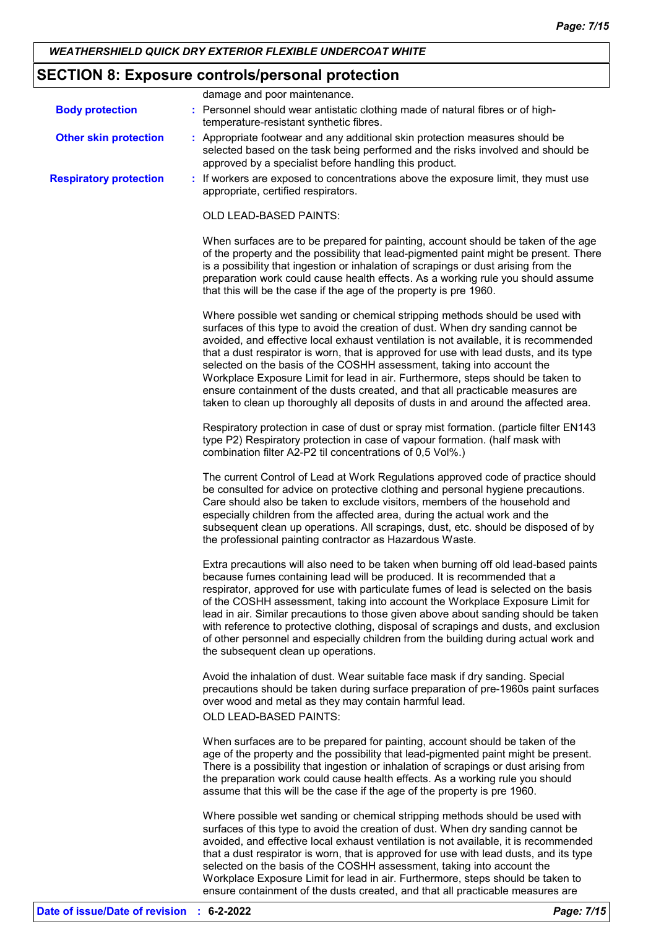## **SECTION 8: Exposure controls/personal protection**

|                               | damage and poor maintenance.                                                                                                                                                                                                                                                                                                                                                                                                                                                                                                                                                                                                                                                            |
|-------------------------------|-----------------------------------------------------------------------------------------------------------------------------------------------------------------------------------------------------------------------------------------------------------------------------------------------------------------------------------------------------------------------------------------------------------------------------------------------------------------------------------------------------------------------------------------------------------------------------------------------------------------------------------------------------------------------------------------|
| <b>Body protection</b>        | : Personnel should wear antistatic clothing made of natural fibres or of high-<br>temperature-resistant synthetic fibres.                                                                                                                                                                                                                                                                                                                                                                                                                                                                                                                                                               |
| <b>Other skin protection</b>  | : Appropriate footwear and any additional skin protection measures should be<br>selected based on the task being performed and the risks involved and should be<br>approved by a specialist before handling this product.                                                                                                                                                                                                                                                                                                                                                                                                                                                               |
| <b>Respiratory protection</b> | : If workers are exposed to concentrations above the exposure limit, they must use<br>appropriate, certified respirators.                                                                                                                                                                                                                                                                                                                                                                                                                                                                                                                                                               |
|                               | <b>OLD LEAD-BASED PAINTS:</b>                                                                                                                                                                                                                                                                                                                                                                                                                                                                                                                                                                                                                                                           |
|                               | When surfaces are to be prepared for painting, account should be taken of the age<br>of the property and the possibility that lead-pigmented paint might be present. There<br>is a possibility that ingestion or inhalation of scrapings or dust arising from the<br>preparation work could cause health effects. As a working rule you should assume<br>that this will be the case if the age of the property is pre 1960.                                                                                                                                                                                                                                                             |
|                               | Where possible wet sanding or chemical stripping methods should be used with<br>surfaces of this type to avoid the creation of dust. When dry sanding cannot be<br>avoided, and effective local exhaust ventilation is not available, it is recommended<br>that a dust respirator is worn, that is approved for use with lead dusts, and its type<br>selected on the basis of the COSHH assessment, taking into account the<br>Workplace Exposure Limit for lead in air. Furthermore, steps should be taken to<br>ensure containment of the dusts created, and that all practicable measures are<br>taken to clean up thoroughly all deposits of dusts in and around the affected area. |
|                               | Respiratory protection in case of dust or spray mist formation. (particle filter EN143<br>type P2) Respiratory protection in case of vapour formation. (half mask with<br>combination filter A2-P2 til concentrations of 0,5 Vol%.)                                                                                                                                                                                                                                                                                                                                                                                                                                                     |
|                               | The current Control of Lead at Work Regulations approved code of practice should<br>be consulted for advice on protective clothing and personal hygiene precautions.<br>Care should also be taken to exclude visitors, members of the household and<br>especially children from the affected area, during the actual work and the<br>subsequent clean up operations. All scrapings, dust, etc. should be disposed of by<br>the professional painting contractor as Hazardous Waste.                                                                                                                                                                                                     |
|                               | Extra precautions will also need to be taken when burning off old lead-based paints<br>because fumes containing lead will be produced. It is recommended that a<br>respirator, approved for use with particulate fumes of lead is selected on the basis<br>of the COSHH assessment, taking into account the Workplace Exposure Limit for<br>lead in air. Similar precautions to those given above about sanding should be taken<br>with reference to protective clothing, disposal of scrapings and dusts, and exclusion<br>of other personnel and especially children from the building during actual work and<br>the subsequent clean up operations.                                  |
|                               | Avoid the inhalation of dust. Wear suitable face mask if dry sanding. Special<br>precautions should be taken during surface preparation of pre-1960s paint surfaces<br>over wood and metal as they may contain harmful lead.                                                                                                                                                                                                                                                                                                                                                                                                                                                            |
|                               | OLD LEAD-BASED PAINTS:                                                                                                                                                                                                                                                                                                                                                                                                                                                                                                                                                                                                                                                                  |
|                               | When surfaces are to be prepared for painting, account should be taken of the<br>age of the property and the possibility that lead-pigmented paint might be present.<br>There is a possibility that ingestion or inhalation of scrapings or dust arising from<br>the preparation work could cause health effects. As a working rule you should<br>assume that this will be the case if the age of the property is pre 1960.                                                                                                                                                                                                                                                             |
|                               | Where possible wet sanding or chemical stripping methods should be used with<br>surfaces of this type to avoid the creation of dust. When dry sanding cannot be<br>avoided, and effective local exhaust ventilation is not available, it is recommended<br>that a dust respirator is worn, that is approved for use with lead dusts, and its type<br>selected on the basis of the COSHH assessment, taking into account the<br>Workplace Exposure Limit for lead in air. Furthermore, steps should be taken to                                                                                                                                                                          |

ensure containment of the dusts created, and that all practicable measures are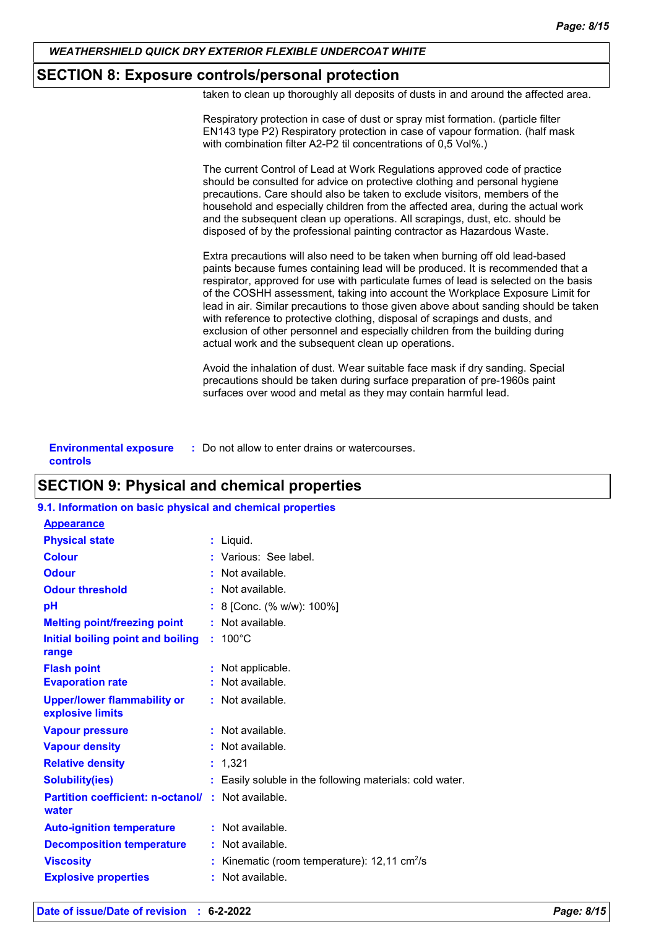## **SECTION 8: Exposure controls/personal protection**

taken to clean up thoroughly all deposits of dusts in and around the affected area.

| Respiratory protection in case of dust or spray mist formation. (particle filter<br>EN143 type P2) Respiratory protection in case of vapour formation. (half mask<br>with combination filter A2-P2 til concentrations of 0,5 Vol%.)                                                                                                                                                                                                                                                                                                                                                                                                                    |
|--------------------------------------------------------------------------------------------------------------------------------------------------------------------------------------------------------------------------------------------------------------------------------------------------------------------------------------------------------------------------------------------------------------------------------------------------------------------------------------------------------------------------------------------------------------------------------------------------------------------------------------------------------|
| The current Control of Lead at Work Regulations approved code of practice<br>should be consulted for advice on protective clothing and personal hygiene<br>precautions. Care should also be taken to exclude visitors, members of the<br>household and especially children from the affected area, during the actual work<br>and the subsequent clean up operations. All scrapings, dust, etc. should be<br>disposed of by the professional painting contractor as Hazardous Waste.                                                                                                                                                                    |
| Extra precautions will also need to be taken when burning off old lead-based<br>paints because fumes containing lead will be produced. It is recommended that a<br>respirator, approved for use with particulate fumes of lead is selected on the basis<br>of the COSHH assessment, taking into account the Workplace Exposure Limit for<br>lead in air. Similar precautions to those given above about sanding should be taken<br>with reference to protective clothing, disposal of scrapings and dusts, and<br>exclusion of other personnel and especially children from the building during<br>actual work and the subsequent clean up operations. |
| Avoid the inhalation of dust. Wear suitable face mask if dry sanding. Special<br>precautions should be taken during surface preparation of pre-1960s paint<br>surfaces over wood and metal as they may contain harmful lead.                                                                                                                                                                                                                                                                                                                                                                                                                           |
|                                                                                                                                                                                                                                                                                                                                                                                                                                                                                                                                                                                                                                                        |

| <b>Environmental exposure</b> | : Do not allow to enter drains or watercourses. |
|-------------------------------|-------------------------------------------------|
| controls                      |                                                 |

## **SECTION 9: Physical and chemical properties**

## **9.1. Information on basic physical and chemical properties**

| <b>Appearance</b>                                      |                                                          |
|--------------------------------------------------------|----------------------------------------------------------|
| <b>Physical state</b>                                  | : Liquid.                                                |
| <b>Colour</b>                                          | : Various: See label.                                    |
| <b>Odour</b>                                           | Not available.                                           |
| <b>Odour threshold</b>                                 | $\cdot$ Not available.                                   |
| рH                                                     | 8 [Conc. (% w/w): 100%]                                  |
| <b>Melting point/freezing point</b>                    | Not available.                                           |
| Initial boiling point and boiling<br>range             | $: 100^{\circ}$ C                                        |
| <b>Flash point</b>                                     | Not applicable.                                          |
| <b>Evaporation rate</b>                                | Not available.                                           |
| <b>Upper/lower flammability or</b><br>explosive limits | : Not available.                                         |
| <b>Vapour pressure</b>                                 | $:$ Not available.                                       |
| <b>Vapour density</b>                                  | : Not available.                                         |
| <b>Relative density</b>                                | : 1,321                                                  |
| <b>Solubility(ies)</b>                                 | Easily soluble in the following materials: cold water.   |
| <b>Partition coefficient: n-octanol/</b><br>water      | $:$ Not available.                                       |
| <b>Auto-ignition temperature</b>                       | $:$ Not available.                                       |
| <b>Decomposition temperature</b>                       | $:$ Not available.                                       |
| <b>Viscosity</b>                                       | Kinematic (room temperature): $12,11$ cm <sup>2</sup> /s |
| <b>Explosive properties</b>                            | : Not available.                                         |
|                                                        |                                                          |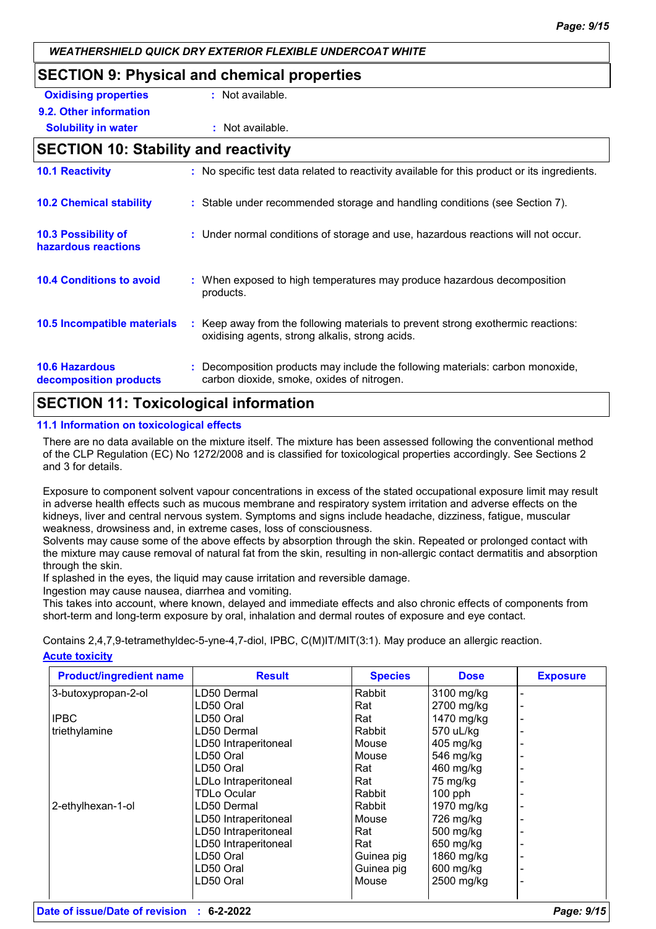# **SECTION 9: Physical and chemical properties Oxidising properties : Not available. 9.2. Other information Solubility in water :** Not available. **SECTION 10: Stability and reactivity 10.1 Reactivity :** No specific test data related to reactivity available for this product or its ingredients.

| <b>10.2 Chemical stability</b>                    | : Stable under recommended storage and handling conditions (see Section 7).                                                         |
|---------------------------------------------------|-------------------------------------------------------------------------------------------------------------------------------------|
| <b>10.3 Possibility of</b><br>hazardous reactions | : Under normal conditions of storage and use, hazardous reactions will not occur.                                                   |
| <b>10.4 Conditions to avoid</b>                   | : When exposed to high temperatures may produce hazardous decomposition<br>products.                                                |
| <b>10.5 Incompatible materials</b>                | : Keep away from the following materials to prevent strong exothermic reactions:<br>oxidising agents, strong alkalis, strong acids. |
| <b>10.6 Hazardous</b><br>decomposition products   | : Decomposition products may include the following materials: carbon monoxide,<br>carbon dioxide, smoke, oxides of nitrogen.        |

## **SECTION 11: Toxicological information**

#### **11.1 Information on toxicological effects**

There are no data available on the mixture itself. The mixture has been assessed following the conventional method of the CLP Regulation (EC) No 1272/2008 and is classified for toxicological properties accordingly. See Sections 2 and 3 for details.

Exposure to component solvent vapour concentrations in excess of the stated occupational exposure limit may result in adverse health effects such as mucous membrane and respiratory system irritation and adverse effects on the kidneys, liver and central nervous system. Symptoms and signs include headache, dizziness, fatigue, muscular weakness, drowsiness and, in extreme cases, loss of consciousness.

Solvents may cause some of the above effects by absorption through the skin. Repeated or prolonged contact with the mixture may cause removal of natural fat from the skin, resulting in non-allergic contact dermatitis and absorption through the skin.

If splashed in the eyes, the liquid may cause irritation and reversible damage.

Ingestion may cause nausea, diarrhea and vomiting.

This takes into account, where known, delayed and immediate effects and also chronic effects of components from short-term and long-term exposure by oral, inhalation and dermal routes of exposure and eye contact.

**Acute toxicity** Contains 2,4,7,9-tetramethyldec-5-yne-4,7-diol, IPBC, C(M)IT/MIT(3:1). May produce an allergic reaction.

| <b>Product/ingredient name</b> | <b>Result</b>        | <b>Species</b> | <b>Dose</b> | <b>Exposure</b> |
|--------------------------------|----------------------|----------------|-------------|-----------------|
| 3-butoxypropan-2-ol            | LD50 Dermal          | Rabbit         | 3100 mg/kg  |                 |
|                                | LD50 Oral            | Rat            | 2700 mg/kg  |                 |
| <b>IPBC</b>                    | LD50 Oral            | Rat            | 1470 mg/kg  |                 |
| triethylamine                  | LD50 Dermal          | Rabbit         | 570 uL/kg   |                 |
|                                | LD50 Intraperitoneal | Mouse          | 405 mg/kg   |                 |
|                                | LD50 Oral            | Mouse          | 546 mg/kg   |                 |
|                                | LD50 Oral            | Rat            | 460 mg/kg   |                 |
|                                | LDLo Intraperitoneal | Rat            | 75 mg/kg    |                 |
|                                | <b>TDLo Ocular</b>   | Rabbit         | $100$ pph   |                 |
| 2-ethylhexan-1-ol              | LD50 Dermal          | Rabbit         | 1970 mg/kg  |                 |
|                                | LD50 Intraperitoneal | Mouse          | 726 mg/kg   |                 |
|                                | LD50 Intraperitoneal | Rat            | 500 mg/kg   |                 |
|                                | LD50 Intraperitoneal | Rat            | 650 mg/kg   |                 |
|                                | LD50 Oral            | Guinea pig     | 1860 mg/kg  |                 |
|                                | LD50 Oral            | Guinea pig     | 600 mg/kg   |                 |
|                                | LD50 Oral            | Mouse          | 2500 mg/kg  |                 |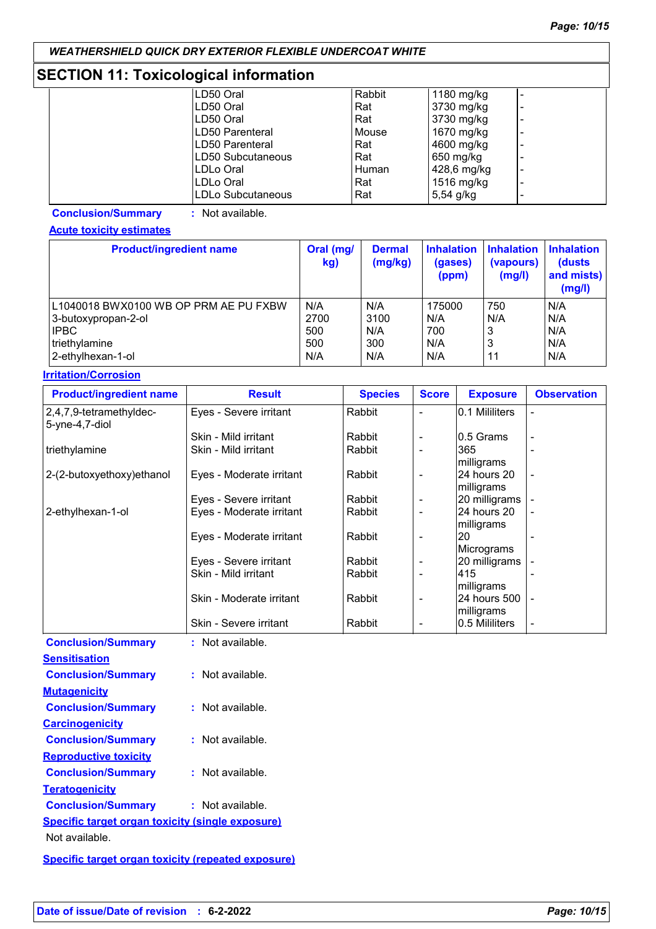## **SECTION 11: Toxicological information**

| LD50 Oral         | Rabbit | 1180 mg/kg  |  |
|-------------------|--------|-------------|--|
| LD50 Oral         | Rat    | 3730 mg/kg  |  |
| LD50 Oral         | Rat    | 3730 mg/kg  |  |
| LD50 Parenteral   | Mouse  | 1670 mg/kg  |  |
| LD50 Parenteral   | Rat    | 4600 mg/kg  |  |
| LD50 Subcutaneous | Rat    | 650 mg/kg   |  |
| ILDLo Oral        | Human  | 428,6 mg/kg |  |
| ILDLo Oral        | Rat    | 1516 mg/kg  |  |
| LDLo Subcutaneous | Rat    | $5,54$ g/kg |  |

**Conclusion/Summary :** Not available.

**Acute toxicity estimates**

| <b>Product/ingredient name</b>        | Oral (mg/<br>kg) | <b>Dermal</b><br>(mg/kg) | <b>Inhalation</b><br>(gases)<br>(ppm) | <b>Inhalation</b><br>(vapours)<br>(mg/l) | <b>Inhalation</b><br>(dusts)<br>and mists)<br>(mg/l) |
|---------------------------------------|------------------|--------------------------|---------------------------------------|------------------------------------------|------------------------------------------------------|
| L1040018 BWX0100 WB OP PRM AE PU FXBW | N/A              | N/A                      | 175000                                | 750                                      | N/A                                                  |
| 3-butoxypropan-2-ol                   | 2700             | 3100                     | N/A                                   | N/A                                      | N/A                                                  |
| <b>IPBC</b>                           | 500              | N/A                      | 700                                   | 3                                        | N/A                                                  |
| triethylamine                         | 500              | 300                      | N/A                                   | 3                                        | N/A                                                  |
| 2-ethylhexan-1-ol                     | N/A              | N/A                      | N/A                                   | 11                                       | N/A                                                  |

#### **Irritation/Corrosion**

| <b>Product/ingredient name</b>                    | <b>Result</b>            | <b>Species</b> | <b>Score</b>             | <b>Exposure</b>            | <b>Observation</b> |
|---------------------------------------------------|--------------------------|----------------|--------------------------|----------------------------|--------------------|
| 2,4,7,9-tetramethyldec-<br>5-yne-4,7-diol         | Eyes - Severe irritant   | Rabbit         |                          | 0.1 Mililiters             |                    |
|                                                   | Skin - Mild irritant     | Rabbit         |                          | 10.5 Grams                 |                    |
| triethylamine                                     | Skin - Mild irritant     | Rabbit         |                          | 365<br>milligrams          |                    |
| 2-(2-butoxyethoxy) ethanol                        | Eyes - Moderate irritant | Rabbit         |                          | 24 hours 20<br>milligrams  |                    |
|                                                   | Eyes - Severe irritant   | Rabbit         | ۰                        | 20 milligrams              |                    |
| 2-ethylhexan-1-ol                                 | Eyes - Moderate irritant | Rabbit         | $\blacksquare$           | 24 hours 20<br> milligrams |                    |
|                                                   | Eyes - Moderate irritant | Rabbit         | $\overline{\phantom{a}}$ | <b>20</b><br>Micrograms    |                    |
|                                                   | Eyes - Severe irritant   | Rabbit         | $\overline{\phantom{a}}$ | 20 milligrams              |                    |
|                                                   | Skin - Mild irritant     | Rabbit         |                          | 415<br> milligrams         |                    |
|                                                   | Skin - Moderate irritant | Rabbit         | ٠                        | 24 hours 500<br>milligrams |                    |
|                                                   | Skin - Severe irritant   | Rabbit         |                          | 10.5 Mililiters            | ۰                  |
| <b>Conclusion/Summary</b><br><b>Sensitisation</b> | : Not available.         |                |                          |                            |                    |
| <b>Conclusion/Summary</b>                         | : Not available.         |                |                          |                            |                    |

| <b>Mutagenicity</b>                                     |                    |
|---------------------------------------------------------|--------------------|
| <b>Conclusion/Summary</b>                               | $:$ Not available. |
| <u>Carcinogenicity</u>                                  |                    |
| <b>Conclusion/Summary</b>                               | $:$ Not available. |
| <b>Reproductive toxicity</b>                            |                    |
| <b>Conclusion/Summary</b>                               | : Not available.   |
| <u>Teratogenicity</u>                                   |                    |
| <b>Conclusion/Summary</b>                               | : Not available.   |
| <b>Specific target organ toxicity (single exposure)</b> |                    |
| Not available.                                          |                    |
|                                                         |                    |

**Specific target organ toxicity (repeated exposure)**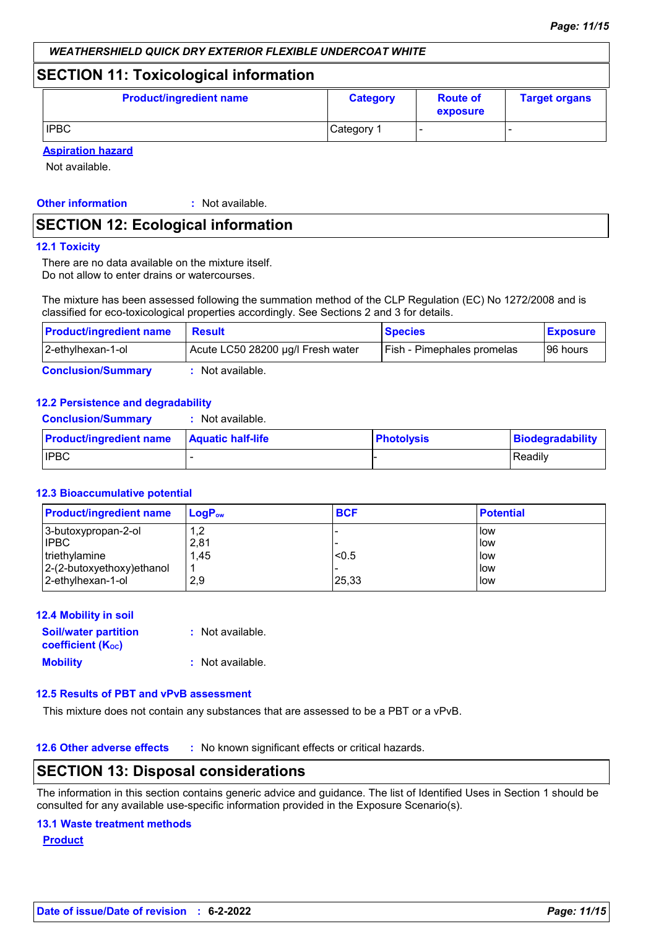## **SECTION 11: Toxicological information**

| <b>Product/ingredient name</b> | <b>Category</b> | <b>Route of</b><br>exposure | <b>Target organs</b> |
|--------------------------------|-----------------|-----------------------------|----------------------|
| <b>IPBC</b>                    | Category 1      |                             |                      |

**Aspiration hazard**

Not available.

**Other information :**

: Not available.

## **SECTION 12: Ecological information**

#### **12.1 Toxicity**

There are no data available on the mixture itself. Do not allow to enter drains or watercourses.

The mixture has been assessed following the summation method of the CLP Regulation (EC) No 1272/2008 and is classified for eco-toxicological properties accordingly. See Sections 2 and 3 for details.

| <b>Product/ingredient name</b> | <b>Result</b>                     | <b>Species</b>             | <b>Exposure</b> |
|--------------------------------|-----------------------------------|----------------------------|-----------------|
| 2-ethylhexan-1-ol              | Acute LC50 28200 µg/l Fresh water | Fish - Pimephales promelas | 196 hours       |
| <b>Conclusion/Summary</b>      | Not available.                    |                            |                 |

#### **12.2 Persistence and degradability**

| <b>Product/ingradiant name Aquatic half-life</b> |                  |
|--------------------------------------------------|------------------|
| <b>Conclusion/Summary</b>                        | : Not available. |

| <b>Product/ingredient name   Aquatic half-life</b> | <b>Photolysis</b> | Biodegradability |
|----------------------------------------------------|-------------------|------------------|
| <b>I</b> IPBC                                      |                   | Readily          |

#### **12.3 Bioaccumulative potential**

| <b>Product/ingredient name</b> | $\mathsf{LogP}_\mathsf{ow}$ | <b>BCF</b> | <b>Potential</b> |
|--------------------------------|-----------------------------|------------|------------------|
| 3-butoxypropan-2-ol            | 1,2                         |            | <b>l</b> ow      |
| <b>IPBC</b>                    | 2,81                        |            | low              |
| triethylamine                  | 1,45                        | < 0.5      | low              |
| $2-(2-butoxyethoxy)ethanol$    |                             |            | low              |
| 2-ethylhexan-1-ol              | 2,9                         | 25,33      | llow             |

#### **12.4 Mobility in soil**

| <b>Soil/water partition</b>           | : Not available. |
|---------------------------------------|------------------|
| <b>coefficient</b> (K <sub>oc</sub> ) |                  |
| <b>Mobility</b>                       | : Not available. |

## **12.5 Results of PBT and vPvB assessment**

This mixture does not contain any substances that are assessed to be a PBT or a vPvB.

**12.6 Other adverse effects** : No known significant effects or critical hazards.

## **SECTION 13: Disposal considerations**

The information in this section contains generic advice and guidance. The list of Identified Uses in Section 1 should be consulted for any available use-specific information provided in the Exposure Scenario(s).

#### **13.1 Waste treatment methods**

**Product**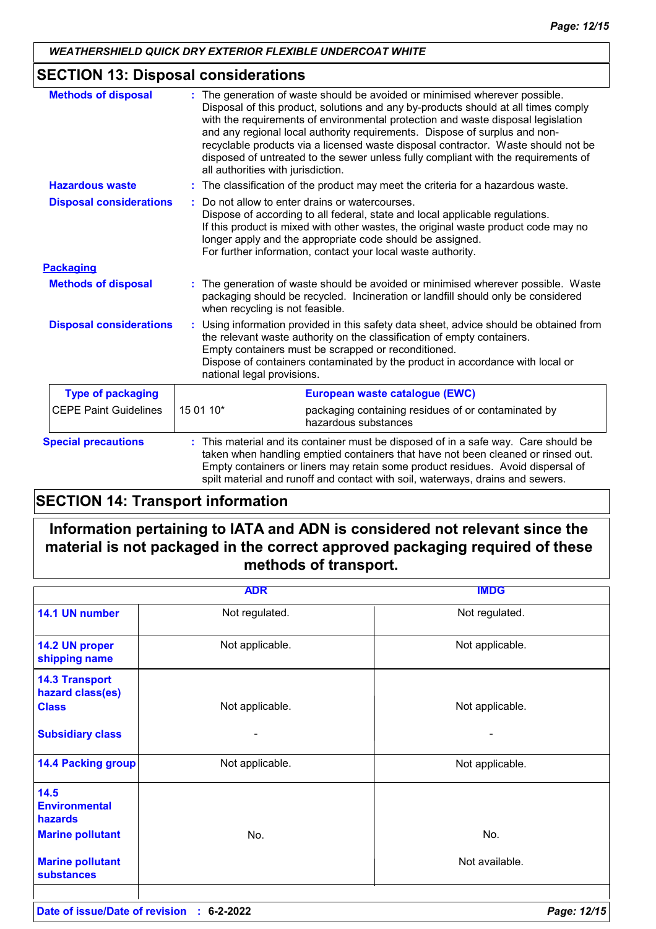## **SECTION 13: Disposal considerations**

| <b>Methods of disposal</b>     | : The generation of waste should be avoided or minimised wherever possible.<br>Disposal of this product, solutions and any by-products should at all times comply<br>with the requirements of environmental protection and waste disposal legislation<br>and any regional local authority requirements. Dispose of surplus and non-<br>recyclable products via a licensed waste disposal contractor. Waste should not be<br>disposed of untreated to the sewer unless fully compliant with the requirements of<br>all authorities with jurisdiction. |
|--------------------------------|------------------------------------------------------------------------------------------------------------------------------------------------------------------------------------------------------------------------------------------------------------------------------------------------------------------------------------------------------------------------------------------------------------------------------------------------------------------------------------------------------------------------------------------------------|
| <b>Hazardous waste</b>         | : The classification of the product may meet the criteria for a hazardous waste.                                                                                                                                                                                                                                                                                                                                                                                                                                                                     |
| <b>Disposal considerations</b> | Do not allow to enter drains or watercourses.<br>Dispose of according to all federal, state and local applicable regulations.<br>If this product is mixed with other wastes, the original waste product code may no<br>longer apply and the appropriate code should be assigned.<br>For further information, contact your local waste authority.                                                                                                                                                                                                     |
| <b>Packaging</b>               |                                                                                                                                                                                                                                                                                                                                                                                                                                                                                                                                                      |
| <b>Methods of disposal</b>     | : The generation of waste should be avoided or minimised wherever possible. Waste<br>packaging should be recycled. Incineration or landfill should only be considered<br>when recycling is not feasible.                                                                                                                                                                                                                                                                                                                                             |
| <b>Disposal considerations</b> | Using information provided in this safety data sheet, advice should be obtained from<br>the relevant waste authority on the classification of empty containers.<br>Empty containers must be scrapped or reconditioned.<br>Dispose of containers contaminated by the product in accordance with local or<br>national legal provisions.                                                                                                                                                                                                                |
| <b>Type of packaging</b>       | European waste catalogue (EWC)                                                                                                                                                                                                                                                                                                                                                                                                                                                                                                                       |
| <b>CEPE Paint Guidelines</b>   | 15 01 10*<br>packaging containing residues of or contaminated by<br>hazardous substances                                                                                                                                                                                                                                                                                                                                                                                                                                                             |
| <b>Special precautions</b>     | : This material and its container must be disposed of in a safe way. Care should be<br>taken when handling emptied containers that have not been cleaned or rinsed out.<br>Empty containers or liners may retain some product residues. Avoid dispersal of<br>spilt material and runoff and contact with soil, waterways, drains and sewers.                                                                                                                                                                                                         |

## **SECTION 14: Transport information**

## **Information pertaining to IATA and ADN is considered not relevant since the material is not packaged in the correct approved packaging required of these methods of transport.**

|                                                                    | <b>ADR</b>      | <b>IMDG</b>     |
|--------------------------------------------------------------------|-----------------|-----------------|
| 14.1 UN number                                                     | Not regulated.  | Not regulated.  |
| 14.2 UN proper<br>shipping name                                    | Not applicable. | Not applicable. |
| <b>14.3 Transport</b><br>hazard class(es)<br><b>Class</b>          | Not applicable. | Not applicable. |
| <b>Subsidiary class</b>                                            |                 |                 |
| <b>14.4 Packing group</b>                                          | Not applicable. | Not applicable. |
| 14.5<br><b>Environmental</b><br>hazards<br><b>Marine pollutant</b> | No.             | No.             |
| <b>Marine pollutant</b><br><b>substances</b>                       |                 | Not available.  |
|                                                                    |                 |                 |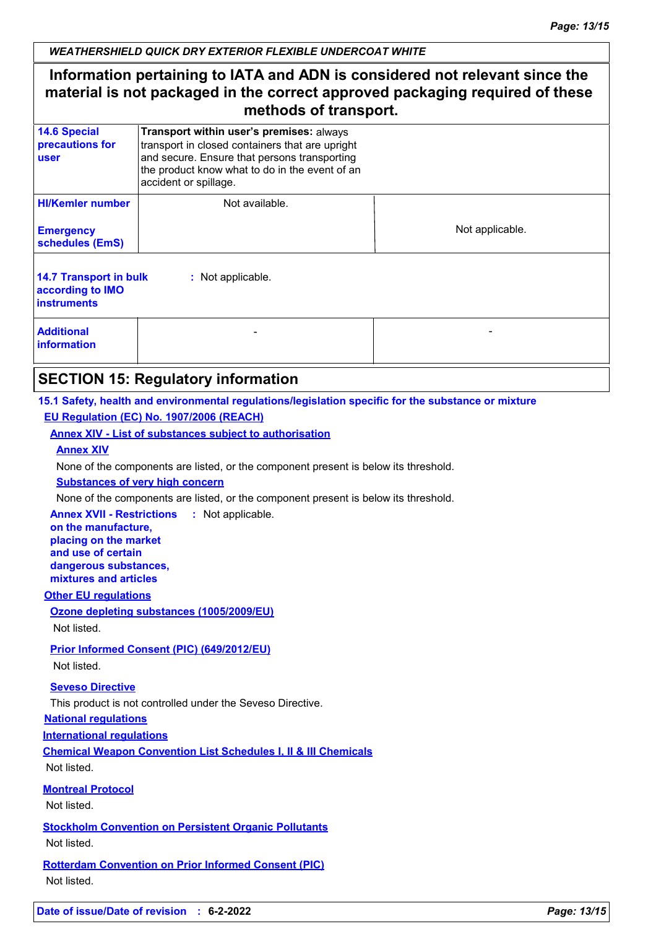## **Information pertaining to IATA and ADN is considered not relevant since the material is not packaged in the correct approved packaging required of these methods of transport.**

| <b>14.6 Special</b><br>precautions for<br><b>user</b>                   | Transport within user's premises: always<br>transport in closed containers that are upright<br>and secure. Ensure that persons transporting<br>the product know what to do in the event of an<br>accident or spillage. |                 |  |
|-------------------------------------------------------------------------|------------------------------------------------------------------------------------------------------------------------------------------------------------------------------------------------------------------------|-----------------|--|
| <b>HI/Kemler number</b><br><b>Emergency</b><br>schedules (EmS)          | Not available.                                                                                                                                                                                                         | Not applicable. |  |
| <b>14.7 Transport in bulk</b><br>according to IMO<br><b>instruments</b> | : Not applicable.                                                                                                                                                                                                      |                 |  |
| <b>Additional</b><br><i>information</i>                                 |                                                                                                                                                                                                                        |                 |  |

## **SECTION 15: Regulatory information**

#### **15.1 Safety, health and environmental regulations/legislation specific for the substance or mixture EU Regulation (EC) No. 1907/2006 (REACH)**

#### **Annex XIV - List of substances subject to authorisation**

#### **Annex XIV**

None of the components are listed, or the component present is below its threshold.

#### **Substances of very high concern**

None of the components are listed, or the component present is below its threshold.

**Annex XVII - Restrictions :** Not applicable.

**on the manufacture, placing on the market and use of certain dangerous substances, mixtures and articles**

#### **Other EU regulations**

# **Ozone depleting substances (1005/2009/EU)**

Not listed.

## **Prior Informed Consent (PIC) (649/2012/EU)**

Not listed.

## **Seveso Directive**

This product is not controlled under the Seveso Directive.

## **National regulations**

**International regulations**

**Chemical Weapon Convention List Schedules I, II & III Chemicals**

Not listed.

**Montreal Protocol**

Not listed.

**Stockholm Convention on Persistent Organic Pollutants** Not listed.

**Rotterdam Convention on Prior Informed Consent (PIC)** Not listed.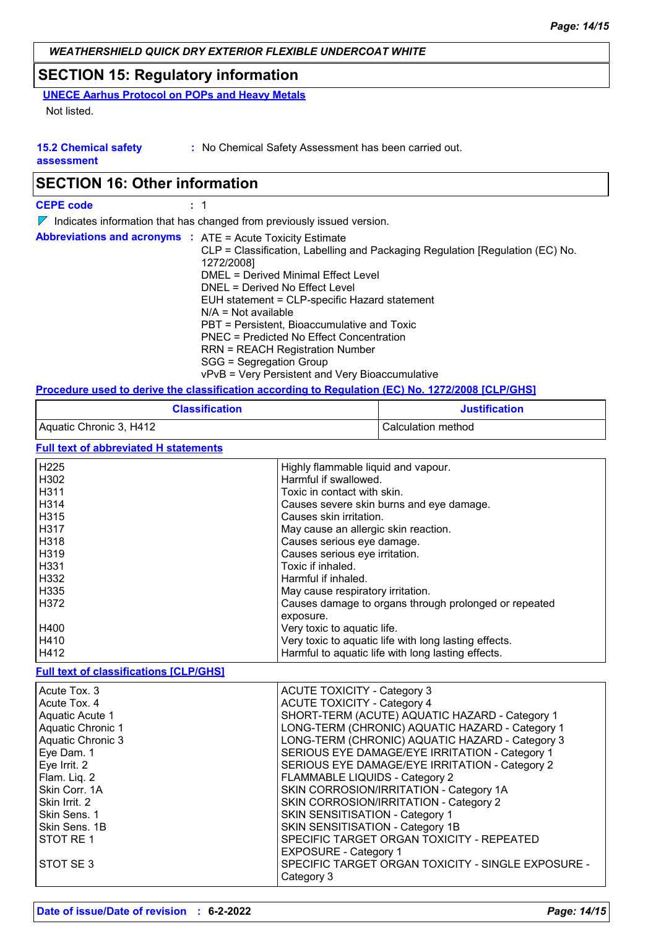## **SECTION 15: Regulatory information**

**UNECE Aarhus Protocol on POPs and Heavy Metals**

Not listed.

**15.2 Chemical safety :** No Chemical Safety Assessment has been carried out.

**assessment**

# **SECTION 16: Other information**

| <b>CEPE code</b>                                                       |  | : 1                                                                                                                                                                                                                                                                                                                                                                                                                                                                                                                                    |  |
|------------------------------------------------------------------------|--|----------------------------------------------------------------------------------------------------------------------------------------------------------------------------------------------------------------------------------------------------------------------------------------------------------------------------------------------------------------------------------------------------------------------------------------------------------------------------------------------------------------------------------------|--|
| Indicates information that has changed from previously issued version. |  |                                                                                                                                                                                                                                                                                                                                                                                                                                                                                                                                        |  |
|                                                                        |  | <b>Abbreviations and acronyms : ATE = Acute Toxicity Estimate</b><br>CLP = Classification, Labelling and Packaging Regulation [Regulation (EC) No.<br>1272/2008]<br>DMEL = Derived Minimal Effect Level<br>DNEL = Derived No Effect Level<br>EUH statement = CLP-specific Hazard statement<br>$N/A = Not available$<br>PBT = Persistent, Bioaccumulative and Toxic<br>PNEC = Predicted No Effect Concentration<br><b>RRN = REACH Registration Number</b><br>SGG = Segregation Group<br>vPvB = Very Persistent and Very Bioaccumulative |  |
|                                                                        |  | Procedure used to derive the classification according to Regulation (EC) No. 1272/2008 [CLP/GHS]                                                                                                                                                                                                                                                                                                                                                                                                                                       |  |

| <b>Classification</b>   | <b>Justification</b> |
|-------------------------|----------------------|
| Aquatic Chronic 3, H412 | Calculation method   |
|                         |                      |

**Full text of abbreviated H statements**

| H <sub>225</sub>  | Highly flammable liquid and vapour.                   |
|-------------------|-------------------------------------------------------|
| H302              | Harmful if swallowed.                                 |
| H <sub>3</sub> 11 | Toxic in contact with skin.                           |
| H314              | Causes severe skin burns and eye damage.              |
| H <sub>3</sub> 15 | Causes skin irritation.                               |
| H317              | May cause an allergic skin reaction.                  |
| H318              | Causes serious eye damage.                            |
| H <sub>3</sub> 19 | Causes serious eye irritation.                        |
| H331              | Toxic if inhaled.                                     |
| H332              | Harmful if inhaled.                                   |
| H335              | May cause respiratory irritation.                     |
| H372              | Causes damage to organs through prolonged or repeated |
|                   | exposure.                                             |
| H400              | Very toxic to aquatic life.                           |
| H410              | Very toxic to aquatic life with long lasting effects. |
| H412              | Harmful to aquatic life with long lasting effects.    |

### **Full text of classifications [CLP/GHS]**

| Acute Tox. 3             | <b>ACUTE TOXICITY - Category 3</b>                 |
|--------------------------|----------------------------------------------------|
| Acute Tox, 4             | <b>ACUTE TOXICITY - Category 4</b>                 |
| Aquatic Acute 1          | SHORT-TERM (ACUTE) AQUATIC HAZARD - Category 1     |
| <b>Aquatic Chronic 1</b> | LONG-TERM (CHRONIC) AQUATIC HAZARD - Category 1    |
| <b>Aquatic Chronic 3</b> | LONG-TERM (CHRONIC) AQUATIC HAZARD - Category 3    |
| Eye Dam. 1               | SERIOUS EYE DAMAGE/EYE IRRITATION - Category 1     |
| Eye Irrit. 2             | SERIOUS EYE DAMAGE/EYE IRRITATION - Category 2     |
| Flam. Liq. 2             | <b>FLAMMABLE LIQUIDS - Category 2</b>              |
| Skin Corr. 1A            | SKIN CORROSION/IRRITATION - Category 1A            |
| Skin Irrit. 2            | SKIN CORROSION/IRRITATION - Category 2             |
| Skin Sens. 1             | SKIN SENSITISATION - Category 1                    |
| Skin Sens. 1B            | SKIN SENSITISATION - Category 1B                   |
| STOT RE1                 | SPECIFIC TARGET ORGAN TOXICITY - REPEATED          |
|                          | <b>EXPOSURE - Category 1</b>                       |
| STOT SE 3                | SPECIFIC TARGET ORGAN TOXICITY - SINGLE EXPOSURE - |
|                          | Category 3                                         |